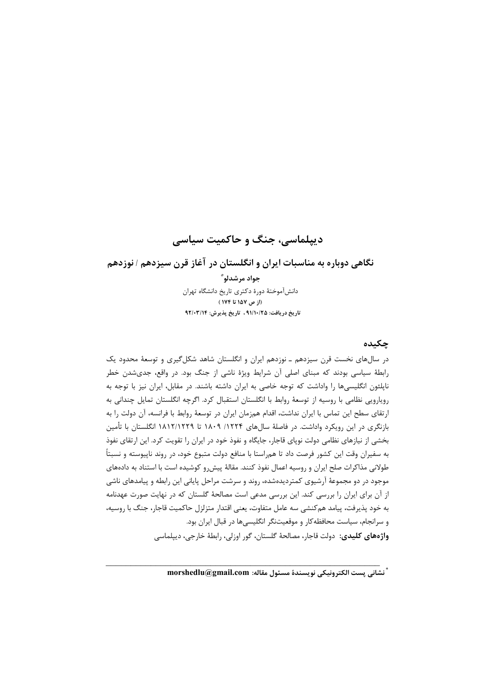# دیپلماسی، جنگ و حاکمیت سیاسی

## نگاهی دوباره به مناسبات ایران و انگلستان در آغاز قرن سیزدهم / نوزدهم

جواد مرشدلو ؓ دانش آموختهٔ دورهٔ دکتری تاریخ دانشگاه تهران (از ص ١٥٧ تا ١٧۴) تاريخ دريافت: ٩١/١٠/٢۵ ، تاريخ پذيرش: ٩٢/٠٣/١٤

## چکىدە

در سالهای نخست قرن سیزدهم ـ نوزدهم ایران و انگلستان شاهد شکل گیری و توسعهٔ محدود یک رابطهٔ سیاسی بودند که مبنای اصلی آن شرایط ویژهٔ ناشی از جنگ بود. در واقع، جدیشدن خطر ناپلئون انگلیسیها را واداشت که توجه خاصی به ایران داشته باشند. در مقابل، ایران نیز با توجه به رویارویی نظامی با روسیه از توسعهٔ روابط با انگلستان استقبال کرد. اگرچه انگلستان تمایل چندانی به ارتقای سطح این تماس با ایران نداشت، اقدام همزمان ایران در توسعهٔ روابط با فرانسه، آن دولت را به بازنگری در این رویکرد واداشت. در فاصلهٔ سالهای ۱۲۲۴/ ۱۸۰۹ تا ۱۸۱۲/۱۲۲۹ انگلستان با تأمین بخشی از نیازهای نظامی دولت نوپای قاجار، جایگاه و نفوذ خود در ایران را تقویت کرد. این ارتقای نفوذ به سفیران وقت این کشور فرصت داد تا همراستا با منافع دولت متبوع خود، در روند نایپوسته و نسبتاً طولانی مذاکرات صلح ایران و روسیه اعمال نفوذ کنند. مقالهٔ پیش رو کوشیده است با استناد به دادههای موجود در دو مجموعهٔ آرشیوی کمتردیدهشده، روند و سرشت مراحل پایانی این رابطه و پیامدهای ناشی از آن برای ایران را بررسی کند. این بررسی مدعی است مصالحهٔ گلستان که در نهایت صورت عهدنامه به خود پذیرفت، پیامد هم کنشی سه عامل متفاوت، یعنی اقتدار متزلزل حاکمیت قاجار، جنگ با روسیه، و سرانجام، سیاست محافظه کار و موقعیتنگر انگلیسیها در قبال ایران بود. واژههای کلیدی: دولت قاجار، مصالحهٔ گلستان، گور اوزلی، رابطهٔ خارجی، دیپلماسی

ً نشاني پست الكترونيكي نويسندهٔ مسئول مقاله: morshedlu@gmail.com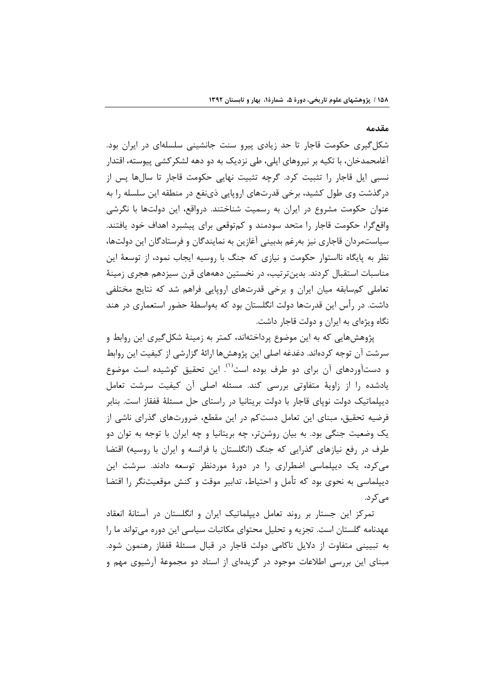#### مقدمه

شکل گیری حکومت قاجار تا حد زیادی پیرو سنت جانشینی سلسلهای در ایران بود. آغامحمدخان، با تکیه بر نیروهای ایلی، طی نزدیک به دو دهه لشکرکشی پیوسته، اقتدار نسبی ایل قاجار را تثبیت کرد. گرچه تثبیت نهایی حکومت قاجار تا سالها پس از درگذشت وی طول کشید، برخی قدرتهای اروپایی ذینفع در منطقه این سلسله را به عنوان حکومت مشروع در ایران به رسمیت شناختند. درواقع، این دولتها با نگرشی واقع گرا، حکومت قاجار را متحد سودمند و کمتوقعی برای پیشبرد اهداف خود یافتند. سیاستمردان قاجاری نیز بهرغم بدبینی آغازین به نمایندگان و فرستادگان این دولتها، نظر به پایگاه نااستوار حکومت و نیازی که جنگ با روسیه ایجاب نمود، از توسعهٔ این مناسبات استقبال کردند. بدینترتیب، در نخستین دهههای قرن سیزدهم هجری زمینهٔ تعاملی کمسابقه میان ایران و برخی قدرتهای اروپایی فراهم شد که نتایج مختلفی داشت. در رأس این قدرتها دولت انگلستان بود که بهواسطهٔ حضور استعماری در هند نگاه ویژهای به ایران و دولت قاجار داشت.

پژوهشهایی که به این موضوع پرداختهاند، کمتر به زمینهٔ شکل5یری این روابط و سرشت آن توجه کردهاند. دغدغه اصلی این پژوهشها ارائهٔ گزارشی از کیفیت این روابط و دستآوردهای آن برای دو طرف بوده است<sup>(۱)</sup>. این تحقیق کوشیده است موضوع یادشده را از زاویهٔ متفاوتی بررسی کند. مسئله اصلی آن کیفیت سرشت تعامل دیپلماتیک دولت نوپای قاجار با دولت بریتانیا در راستای حل مسئلهٔ قفقاز است. بنابر فرضیه تحقیق، مبنای این تعامل دستکم در این مقطع، ضرورتهای گذرای ناشی از یک وضعیت جنگی بود. به بیان روشنتر، چه بریتانیا و چه ایران با توجه به توان دو طرف در رفع نیازهای گذرایی که جنگ (انگلستان با فرانسه و ایران با روسیه) اقتضا می کرد، یک دیپلماسی اضطراری را در دورهٔ موردنظر توسعه دادند. سرشت این دیپلماسی به نحوی بود که تأمل و احتیاط، تدابیر موقت و کنش موقعیتنگر را اقتضا مے کہ د.

تمرکز این جستار بر روند تعامل دیپلماتیک ایران و انگلستان در آستانهٔ انعقاد عهدنامه گلستان است. تجزیه و تحلیل محتوای مکاتبات سیاسی این دوره میتواند ما را به تبیینی متفاوت از دلایل ناکامی دولت قاجار در قبال مسئلهٔ قفقاز رهنمون شود. مبنای این بررسی اطلاعات موجود در گزیدهای از اسناد دو مجموعهٔ آرشیوی مهم و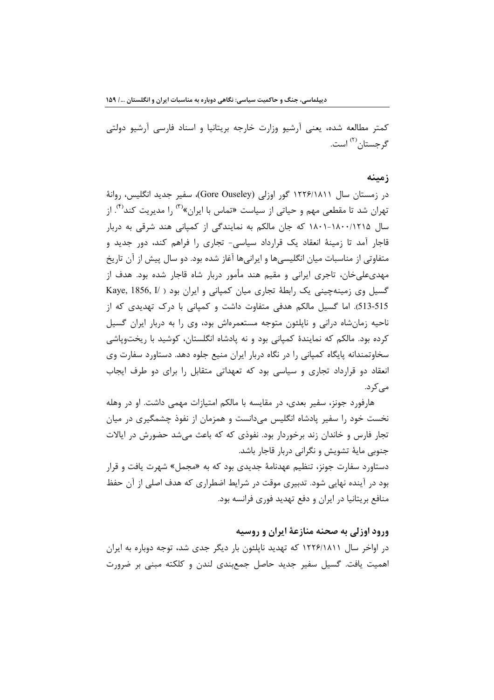کمتر مطالعه شده، یعنی آرشیو وزارت خارجه بریتانیا و اسناد فارسی آرشیو دولتی گ حستان <sup>(۲)</sup> است.

#### زمىنە

در زمستان سال ۱۲۲۶/۱۸۱۱ گور اوزلی (Gore Ouseley)، سفیر جدید انگلیس، روانهٔ تهران شد تا مقطعی مهم و حیاتی از سیاست «تماس با ایران»<sup>(۳)</sup> را مدیریت کند<sup>(۴)</sup>. از سال ۱۸۰۰/۱۸۰۰/۱۲۱۵ که جان مالکم به نمایندگی از کمپانی هند شرقی به دربار قاجار آمد تا زمینهٔ انعقاد یک قرارداد سیاسی- تجاری را فراهم کند، دور جدید و متفاوتی از مناسبات میان انگلیسی ها و ایرانی ها آغاز شده بود. دو سال پیش از آن تاریخ مهدیعلیخان، تاجری ایرانی و مقیم هند مأمور دربار شاه قاجار شده بود. هدف از گسیل وی زمینهچینی یک رابطهٔ تجاری میان کمیانی و ایران بود ( Kaye, 1856, I 513-515). اما گسیل مالکم هدفی متفاوت داشت و کمیانی با درک تهدیدی که از ناحیه زمانشاه درانی و ناپلئون متوجه مستعمرهاش بود، وی را به دربار ایران گسیل کرده بود. مالکم که نمایندهٔ کمپانی بود و نه پادشاه انگلستان، کوشید با ریختوپاشی سخاوتمندانه پایگاه کمپانی را در نگاه دربار ایران منیع جلوه دهد. دستاورد سفارت وی انعقاد دو قرارداد تجاری و سیاسی بود که تعهداتی متقابل را برای دو طرف ایجاب مے کر د.

هارفورد جونز، سفیر بعدی، در مقایسه با مالکم امتیازات مهمی داشت. او در وهله نخست خود را سفیر پادشاه انگلیس میدانست و همزمان از نفوذ چشمگیری در میان تجار فارس و خاندان زند برخوردار بود. نفوذی که که باعث می شد حضورش در ایالات جنوبی مایهٔ تشویش و نگرانی دربار قاجار باشد.

دستاورد سفارت جونز، تنظیم عهدنامهٔ جدیدی بود که به «مجمل» شهرت یافت و قرار بود در آینده نهایی شود. تدبیری موقت در شرایط اضطراری که هدف اصلی از آن حفظ منافع بریتانیا در ایران و دفع تهدید فوری فرانسه بود.

### ورود اوزلی به صحنه منازعهٔ ایران و روسیه

در اواخر سال ۱۲۲۶/۱۸۱۱ که تهدید نایلئون بار دیگر جدی شد، توجه دوباره به ایران اهمیت یافت. گسیل سفیر جدید حاصل جمعبندی لندن و کلکته مبنی بر ضرورت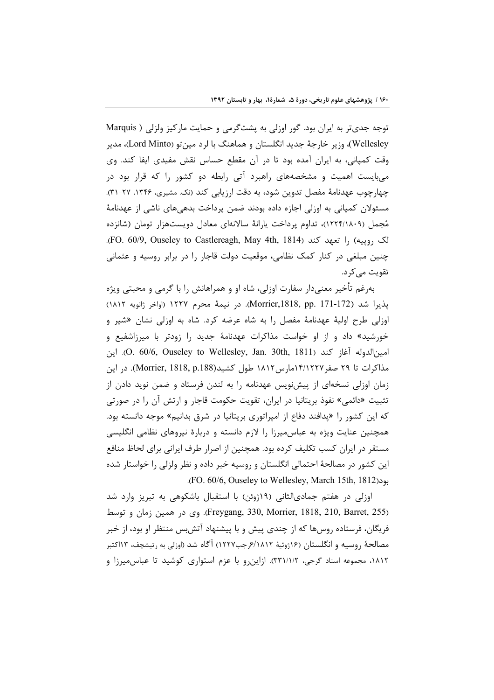توجه جدیتر به ایران بود. گور اوزلی به پشتگرمی و حمایت مارکیز ولزلی ( Marquis Wellesley)، وزير خارجهٔ جديد انگلستان و هماهنگ با لرد مينتو (Lord Minto)، مدير وقت کمپانی، به ایران آمده بود تا در آن مقطع حساس نقش مفیدی ایفا کند. وی می بایست اهمیت و مشخصههای راهبرد آتی رابطه دو کشور را که قرار بود در چهارچوب عهدنامهٔ مفصل تدوین شود، به دقت ارزیابی کند (نک. مشیری، ۱۳۴۶، ۲۷-۳۱). مسئولان کمپانی به اوزلی اجازه داده بودند ضمن پرداخت بدهیهای ناشی از عهدنامهٔ مُجمل (۱۸۰۹/۱۲۲۴)، تداوم پرداخت یارانهٔ سالانهای معادل دویستهزار تومان (شانزده لک ,وییه) ,ا تعهد کند (FO. 60/9, Ouseley to Castlereagh, May 4th, 1814). چنین مبلغی در کنار کمک نظامی، موقعیت دولت قاجار را در برابر روسیه و عثمانی تقویت مے کر د.

بهرغم تأخیر معنیدار سفارت اوزلی، شاه او و همراهانش را با گرمی و محبتی ویژه يذيرا شد (172-171 .Morrier,1818, pp). در نيمة محرم ١٢٢٧ (اواخر ژانويه ١٨١٢) اوزلی طرح اولیهٔ عهدنامهٔ مفصل را به شاه عرضه کرد. شاه به اوزلی نشان «شیر و خورشید» داد و از او خواست مذاکرات عهدنامهٔ جدید را زودتر با میرزاشفیع و امين|لدوله آغاز كند (O. 60/6, Ouseley to Wellesley, Jan. 30th, 1811). اين مذاكرات تا ٢٩ صفر ١٤/١٢٢٧مارس ١٨١٢ طول كشيد(Morrier, 1818, p.188). در اين زمان اوزلی نسخهای از پیشنویس عهدنامه را به لندن فرستاد و ضمن نوید دادن از تثبیت «دائمی» نفوذ بریتانیا در ایران، تقویت حکومت قاجار و ارتش آن را در صورتی که این کشور را «پدافند دفاع از امپراتوری بریتانیا در شرق بدانیم» موجه دانسته بود. همچنین عنایت ویژه به عباس میرزا را لازم دانسته و دربارهٔ نیروهای نظامی انگلیسی مستقر در ایران کسب تکلیف کرده بود. همچنین از اصرار طرف ایرانی برای لحاظ منافع این کشور در مصالحهٔ احتمالی انگلستان و روسیه خبر داده و نظر ولزلی را خواستار شده بود(FO. 60/6, Ouseley to Wellesley, March 15th, 1812.

اوزلی در هفتم جمادیالثانی (۱۹ژوئن) با استقبال باشکوهی به تبریز وارد شد (Freygang, 330, Morrier, 1818, 210, Barret, 255). وي در همين زمان و توسط فریگان، فرستاده روسها که از چندی پیش و با پیشنهاد آتشبس منتظر او بود، از خبر مصالحهٔ روسیه و انگلستان (۱۶ژوئیهٔ ۶/۱۸۱۲رجب۱۲۲۷) آگاه شد (اوزلی به رتیشچف، ۱۳اکتبر ۱۸۱۲، مجموعه اسناد گرجی، ۳۳۱/۱/۲). ازاین رو با عزم استواری کوشید تا عباس میرزا و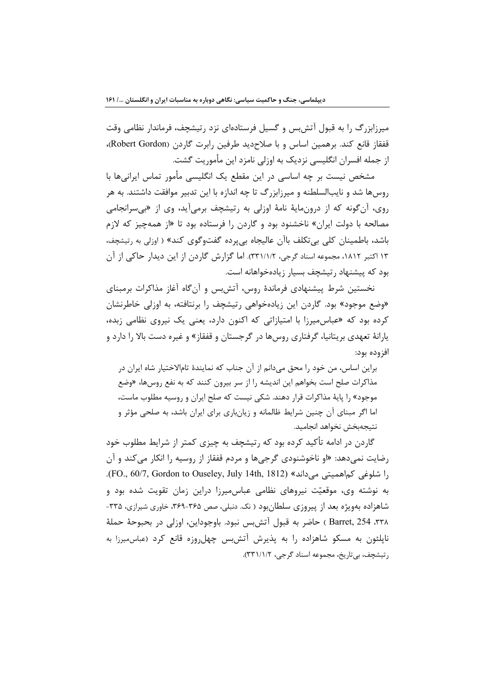میرزابزرگ را به قبول آتش بس و گسیل فرستادهای نزد رتیشچف، فرماندار نظامی وقت قفقاز قانع كند. برهمين اساس و با صلاحديد طرفين رابرت گاردن (Robert Gordon)، از جمله افسران انگلیسی نزدیک به اوزلی نامزد این مأموریت گشت.

مشخص نیست بر چه اساسی در این مقطع یک انگلیسی مأمور تماس ایرانیها با روسها شد و نایبالسلطنه و میرزابزرگ تا چه اندازه با این تدبیر موافقت داشتند. به هر روی، آن گونه که از درونمایهٔ نامهٔ اوزلی به رتیشچف برمیآید، وی از «بیسرانجامی مصالحه با دولت ایران» ناخشنود بود و گاردن را فرستاده بود تا «از همهچیز که لازم باشد، باطمینان کلی بی تکلف باآن عالیجاه بی برده گفتوگوی کند» ( اوزلی به رتیشچف، ۱۳ اکتبر ۱۸۱۲، مجموعه اسناد گرجی، ۳۳۱/۱/۲). اما گزارش گاردن از این دیدار حاکی از آن بود که پیشنهاد رتیشچف بسیار زیادهخواهانه است.

نخستین شرط پیشنهادی فرماندهٔ روس، آتش بس و آن گاه آغاز مذاکرات برمبنای «وضع موجود» بود. گاردن این زیادهخواهی رتیشچف را برنتافته، به اوزلی خاطرنشان کرده بود که «عباس میرزا با امتیازاتی که اکنون دارد، یعنی یک نیروی نظامی زبده، یارانهٔ تعهدی بریتانیا، گرفتاری روسها در گرجستان و قفقاز» و غیره دست بالا را دارد و افزوده بود:

براین اساس، من خود را محق میدانم از آن جناب که نمایندهٔ تامالاختیار شاه ایران در مذاکرات صلح است بخواهم این اندیشه را از سر بیرون کنند که به نفع روسها، «وضع موجود» ,ا پایهٔ مذاکرات قرار دهند. شکی نیست که صلح ایران و روسیه مطلوب ماست، اما اگر مبنای آن چنین شرایط ظالمانه و زیانباری برای ایران باشد، به صلحی مؤثر و نتيجهبخش نخواهد انجاميد.

گاردن در ادامه تأکید کرده بود که رتیشچف به چیزی کمتر از شرایط مطلوب خود رضایت نمی دهد: «او ناخوشنودی گرجی ها و مردم قفقاز از روسیه را انکار می *ک*ند و آن را شلوغی کماهمیتی میداند» (FO., 60/7, Gordon to Ouseley, July 14th, 1812). به نوشته وی، موقعیّت نیروهای نظامی عباسمیرزا دراین زمان تقویت شده بود و شاهزاده بهویژه بعد از پیروزی سلطانبود ( نک دنبلی، صص ۳۶۵-۳۶۹، خاوری شیرازی، ۳۳۵-٣٣٨، Barret, 254 ) حاضر به قبول آتش بس نبود. باوجوداين، اوزلي در بحبوحة حملة ناپلئون به مسکو شاهزاده را به پذیرش آتشبس چهلروزه قانع کرد (عباس،میرزا به رتيشچف، بي تاريخ، مجموعه اسناد گرجي، ٣٣١/١/٢).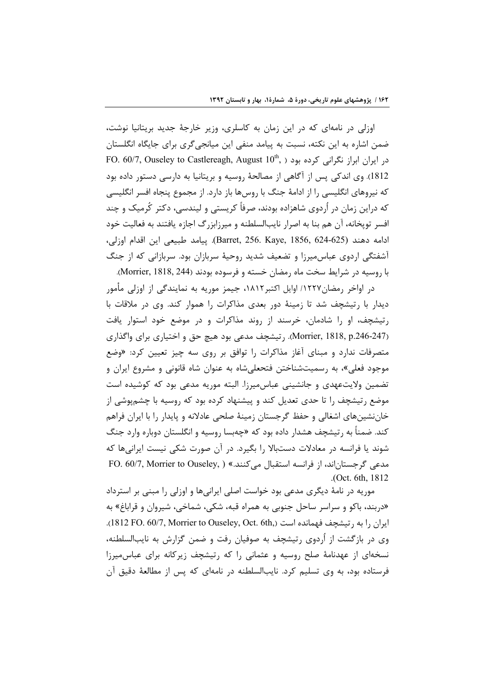اوزلی در نامهای که در این زمان به کاسلری، وزیر خارجهٔ جدید بریتانیا نوشت، ضمن اشاره به این نکته، نسبت به پیامد منفی این میانجیگری برای جایگاه انگلستان FO. 60/7, Ouseley to Castlereagh, August  $10^{\text{th}}$ , در ایران ابراز نگرانی کرده بود ( 1812). وی اندکی پس از آگاهی از مصالحهٔ روسیه و بریتانیا به دارسی دستور داده بود که نیروهای انگلیسی را از ادامهٔ جنگ با روسها باز دارد. از مجموع پنجاه افسر انگلیسی که دراین زمان در اُردوی شاهزاده بودند، صرفاً کریستی و لیندسی، دکتر کُرمیک و چند افسر توپخانه، آن هم بنا به اصرار نایبالسلطنه و میرزابزرگ اجازه یافتند به فعالیت خود ادامه دهند (Barret, 256. Kaye, 1856, 624-625). ييامد طبيعي اين اقدام اوزلي، آشفتگی اردوی عباسمیرزا و تضعیف شدید روحیهٔ سربازان بود. سربازانی که از جنگ با روسیه در شرایط سخت ماه رمضان خسته و فرسوده بودند (Morrier, 1818, 244).

در اواخر رمضان١٢٢٧/ اوايل اكتبر١٨١٢، جيمز موريه به نمايندگي از اوزلي مأمور دیدار با رتیشچف شد تا زمینهٔ دور بعدی مذاکرات را هموار کند. وی در ملاقات با رتیشچف، او را شادمان، خرسند از روند مذاکرات و در موضع خود استوار یافت (Morrier, 1818, p.246-247). رتيشچف مدعى بود هيچ حق و اختياري براي واگذاري متصرفات ندارد و مبنای آغاز مذاکرات را توافق بر روی سه چیز تعیین کرد: «وضع موجود فعلي»، به رسميتشناختن فتحعلى شاه به عنوان شاه قانوني و مشروع ايران و تضمین ولایتعهدی و جانشینی عباسمیرزا. البته موریه مدعی بود که کوشیده است موضع رتیشچف را تا حدی تعدیل کند و پیشنهاد کرده بود که روسیه با چشمپوشی از خان نشینهای اشغالی و حفظ گرجستان زمینهٔ صلحی عادلانه و پایدار را با ایران فراهم کند. ضمناً به رتیشچف هشدار داده بود که «چهبسا روسیه و انگلستان دوباره وارد جنگ شوند یا فرانسه در معادلات دستبالا را بگیرد. در آن صورت شکی نیست ایرانیها که مدعی گرجستاناند، از فرانسه استقبال میکنند.» ( FO. 60/7, Morrier to Ouseley, ) .(Oct. 6th, 1812

موریه در نامهٔ دیگری مدعی بود خواست اصلی ایرانیها و اوزلی را مبنی بر استرداد «دربند، باکو و سراسر ساحل جنوبی به همراه قبه، شکی، شماخی، شیروان و قراباغ» به ایران را به , تیشچف فهمانده است (1812 FO. 60/7, Morrier to Ouseley, Oct. 6th.). وی در بازگشت از اُردوی رتیشچف به صوفیان رفت و ضمن گزارش به نایبالسلطنه، نسخهای از عهدنامهٔ صلح روسیه و عثمانی را که رتیشچف زیرکانه برای عباس میرزا فرستاده بود، به وی تسلیم کرد. نایبالسلطنه در نامهای که پس از مطالعهٔ دقیق آن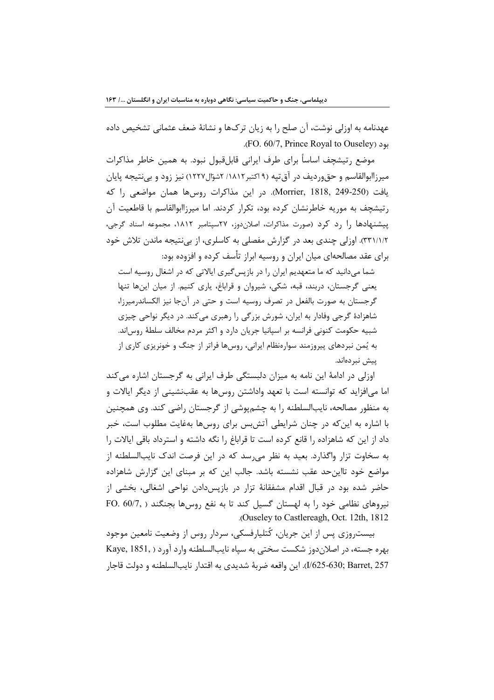عهدنامه به اوزلی نوشت، آن صلح را به زیان ترکها و نشانهٔ ضعف عثمانی تشخیص داده بود (FO. 60/7, Prince Royal to Ouseley).

موضع رتیشچف اساساً برای طرف ایرانی قابلقبول نبود. به همین خاطر مذاکرات میرزاابوالقاسم و حق1ردیف در آق تپه (۹ اکتبر۱۸۱۲/ ۲شوّال۱۲۲۷) نیز زود و بی نتیجه پایان يافت (Morrier, 1818, 249-250). در اين مذاكرات روسها همان مواضعي را كه رتیشچف به موریه خاطرنشان کرده بود، تکرار کردند. اما میرزاابوالقاسم با قاطعیت آن پیشنهادها را رد کرد (صورت مذاکرات، اصلان دوز، ۲۷سپتامبر ۱۸۱۲، مجموعه اسناد گرجی، ٣٣١/١/٢). اوزلي چندي بعد در گزارش مفصلي به كاسلري، از بي نتيجه ماندن تلاش خود برای عقد مصالحهای میان ایران و روسیه ابراز تأسف کرده و افزوده بود:

شما میدانید که ما متعهدیم ایران را در بازپس گیری ایالاتی که در اشغال روسیه است یعنی گرجستان، دربند، قبه، شکی، شیروان و قراباغ، پاری کنیم. از میان اینها تنها گرجستان به صورت بالفعل در تصرف روسیه است و حتی در آنجا نیز الکساندرمیرزا، شاهزادهٔ گرجی وفادار به ایران، شورش بزرگی را رهبری میکند. در دیگر نواحی چیزی شبیه حکومت کنونی فرانسه بر اسپانیا جریان دارد و اکثر مردم مخالف سلطهٔ روس|ند. به پُمن نبردهای پیروزمند سوارهنظام ایرانی، روسها فراتر از جنگ و خونریزی کاری از ييش نيردەاند.

اوزلی در ادامهٔ این نامه به میزان دلبستگی طرف ایرانی به گرجستان اشاره میکند اما می|فزاید که توانسته است با تعهد واداشتن روسها به عقبنشینی از دیگر ایالات و به منظور مصالحه، نایبالسلطنه را به چشمپوشی از گرجستان راضی کند. وی همچنین با اشاره به این که در چنان شرایطی آتشبس برای روسها بهفایت مطلوب است، خبر داد از این که شاهزاده را قانع کرده است تا قراباغ را نگه داشته و استرداد باقی ایالات را به سخاوت تزار واگذارد. بعید به نظر می رسد که در این فرصت اندک نایبالسلطنه از مواضع خود تااین حد عقب نشسته باشد. جالب این که بر مبنای این گزارش شاهزاده حاضر شده بود در قبال اقدام مشفقانهٔ تزار در بازپسدادن نواحی اشغالی، بخشی از نیروهای نظامی خود را به لهستان گسیل کند تا به نفع روسها بجنگند ( FO. 60/7, .(Ouseley to Castlereagh, Oct. 12th, 1812)

بیست٫وزی پس از این جریان، کُتلیارفسکی، سردار روس از وضعیت نامعین موجود بهره جسته، در اصلان دوز شکست سختی به سیاه نایبالسلطنه وارد آورد ( Kaye, 1851, I/625-630; Barret, 257). اين واقعه ضربهٔ شديدي به اقتدار نايبالسلطنه و دولت قاجار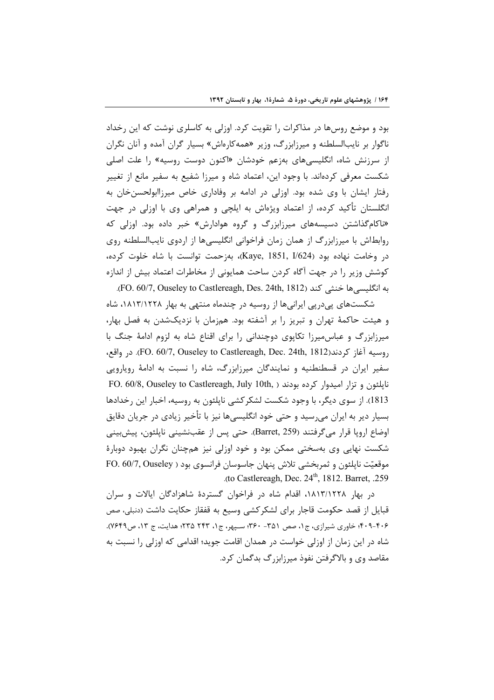بود و موضع روسها در مذاکرات را تقویت کرد. اوزلی به کاسلری نوشت که این رخداد ناگوار بر نایبالسلطنه و میرزابزرگ، وزیر «همهکارهاش» بسیار گران آمده و آنان نگران از سرزنش شاه، انگلیسیهای بهزعم خودشان «اکنون دوست روسیه» را علت اصلی شکست معرفی کردهاند. با وجود این، اعتماد شاه و میرزا شفیع به سفیر مانع از تغییر رفتار ایشان با وی شده بود. اوزلی در ادامه بر وفاداری خاص میرزاابولحسنِخان به انگلستان تأکید کرده، از اعتماد ویژهاش به ایلچی و همراهی وی با اوزلی در جهت «ناکامگذاشتن دسیسههای میرزابزرگ و گروه هوادارش» خبر داده بود. اوزلی که روابطاش با میرزابزرگ از همان زمان فراخوانی انگلیسیها از اردوی نایبالسلطنه روی در وخامت نهاده بود (Kaye, 1851, I/624)، بهزحمت توانست با شاه خلوت کرده، كوشش وزير را در جهت آگاه كردن ساحت همايوني از مخاطرات اعتماد بيش از اندازه به انگلیسی ها خنثی کند (FO. 60/7, Ouseley to Castlereagh, Des. 24th, 1812).

شکستهای یی دریی ایرانیها از روسیه در چندماه منتهی به بهار ۱۸۱۳/۱۲۲۸، شاه و هیئت حاکمهٔ تهران و تبریز را بر آشفته بود. همزمان با نزدیکشدن به فصل بهار، میرزابزرگ و عباس میرزا تکاپوی دوچندانی را برای اقناع شاه به لزوم ادامهٔ جنگ با , وسيه آغاز كردند(FO. 60/7, Ouseley to Castlereagh, Dec. 24th, 1812). در واقع، سفیر ایران در قسطنطنیه و نمایندگان میرزابزرگ، شاه را نسبت به ادامهٔ رویارویی FO. 60/8, Ouseley to Castlereagh, July 10th, ) ناپلئون و تزار امیدوار کرده بودند 1813). از سوی دیگر، با وجود شکست لشکر کشی ناپلئون به روسیه، اخبار این رخدادها بسیار دیر به ایران می٫رسید و حتی خود انگلیسیها نیز با تأخیر زیادی در جریان دقایق اوضاع اروپا قرار می5رفتند (Barret, 259). حتی پس از عقبنشینی ناپلئون، پیشبینی شکست نهایی وی بهسختی ممکن بود و خود اوزلی نیز همچنان نگران بهبود دوبارهٔ FO. 60/7, Ouseley ) موقعیّت ناپلئون و ثمربخشی تلاش پنهان جاسوسان فرانسوی بود .(to Castlereagh, Dec.  $24<sup>th</sup>$ , 1812. Barret, .259

در بهار ۱۸۱۳/۱۲۲۸، اقدام شاه در فراخوان گستردهٔ شاهزادگان ایالات و سران قبایل از قصد حکومت قاجار برای لشکر کشی وسیع به قفقاز حکایت داشت (دنبلی، صص ۴۰۶-۴۰۹؛ خاوری شیرازی، ج۱، صص ۳۵۱- ۳۶۰؛ سـپهر، ج۱، ۲۴۳ ۲۳۵؛ هدایت، ج ۱۳، ص۷۶۴۹). شاه در این زمان از اوزلی خواست در همدان اقامت جوید؛ اقدامی که اوزلی را نسبت به مقاصد وی و بالاگرفتن نفوذ میرزابزرگ بدگمان کرد.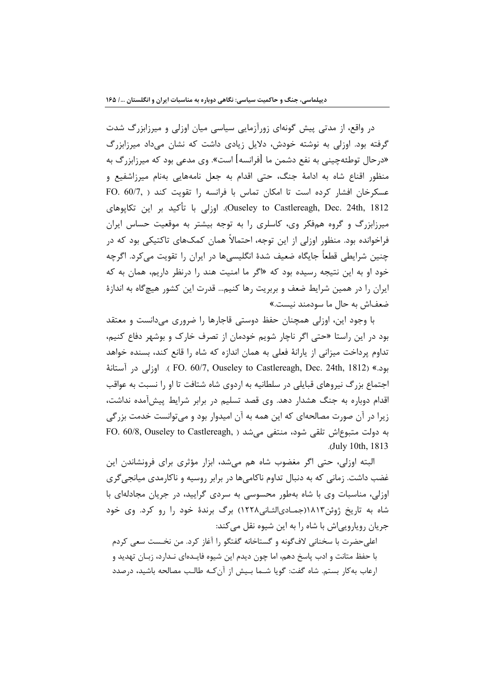در واقع، از مدتی پیش گونهای زورآزمایی سیاسی میان اوزلی و میرزابزرگ شدت گرفته بود. اوزلی به نوشته خودش، دلایل زیادی داشت که نشان میداد میرزابزرگ «درحال توطئهچینی به نفع دشمن ما [فرانسه] است». وی مدعی بود که میرزابزرگ به منظور اقناع شاه به ادامهٔ جنگ، حتی اقدام به جعل نامههایی بهنام میرزاشفیع و عسكرخان افشار كرده است تا امكان تماس با فرانسه را تقويت كند ( FO. 60/7, Ouseley to Castlereagh, Dec. 24th, 1812). اوزلی با تأکید بر این تکاپوهای میرزابزرگ و گروه همفکر وی، کاسلری را به توجه بیشتر به موقعیت حساس ایران فراخوانده بود. منظور اوزلی از این توجه، احتمالاً همان کمکهای تاکتیکی بود که در چنین شرایطی قطعاً جایگاه ضعیف شدهٔ انگلیسیها در ایران را تقویت میکرد. اگرچه خود او به این نتیجه رسیده بود که «اگر ما امنیت هند را درنظر داریم، همان به که ایران را در همین شرایط ضعف و بربریت رها کنیم… قدرت این کشور هیچگاه به اندازهٔ ضعفاش به حال ما سودمند نیست.»

با وجود این، اوزلی همچنان حفظ دوستی قاجارها را ضروری میدانست و معتقد بود در این راستا «حتی اگر ناچار شویم خودمان از تصرف خارک و بوشهر دفاع کنیم، تداوم پرداخت میزانی از پارانهٔ فعلی به همان اندازه که شاه را قانع کند، بسنده خواهد بود.» (FO. 60/7, Ouseley to Castlereagh, Dec. 24th, 1812). اوزلي در آستانهٔ اجتماع بزرگ نیروهای قبایلی در سلطانیه به اردوی شاه شتافت تا او را نسبت به عواقب اقدام دوباره به جنگ هشدار دهد. وی قصد تسلیم در برابر شرایط پیشآمده نداشت، زیرا در آن صورت مصالحهای که این همه به آن امیدوار بود و می توانست خدمت بزرگی FO. 60/8, Ouseley to Castlereagh, ابه دولت متبوعاش تلقى شود، منتفى مى شد .(July 10th, 1813)

البته اوزلی، حتی اگر مغضوب شاه هم میشد، ابزار مؤثری برای فرونشاندن این غضب داشت. زمانی که به دنبال تداوم ناکامیها در برابر روسیه و ناکارمدی میانجی گری اوزلی، مناسبات وی با شاه بهطور محسوسی به سردی گرایید، در جریان مجادلهای با شاه به تاریخ ژوئن١٨١٣(جمادیالثانی١٢٢٨) برگ برندهٔ خود را رو کرد. وی خود جریان روپارویی|ش با شاه را به این شیوه نقل می کند:

اعلی حضرت با سخنانی لاف گونه و گستاخانه گفتگو را آغاز کرد. من نخـست سعی کردم با حفظ متانت و ادب پاسخ دهم، اما چون دیدم این شیوه فایـدهای نـدارد، زبـان تهدید و ارعاب به كار بستم. شاه گفت: گويا شـما بـيش از آن كـه طالـب مصالحه باشيد، درصدد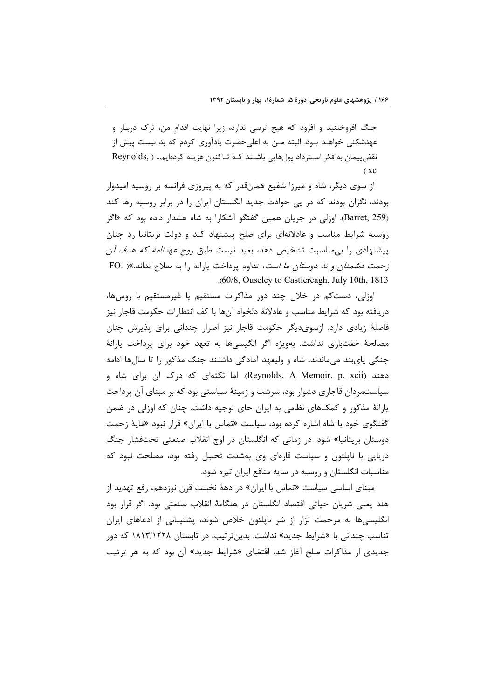جنگ افروختنید و افزود که هیچ ترسی ندارد، زیرا نهایت اقدام من، ترک دربـار و عهدشکنی خواهـد بـود. البته مـن به اعلیحضرت یادآوری کردم که بد نیست پیش از نقضپیمان به فکر اسـترداد پولهایی باشـند کـه تـاکنون هزینه کردهایم... ( Reynolds  $C \times C$ 

از سوی دیگر، شاه و میرزا شفیع همانقدر که به پیروزی فرانسه بر روسیه امیدوار بودند، نگران بودند که در پی حوادث جدید انگلستان ایران را در برابر روسیه رها کند (Barret, 259). اوزلی در جریان همین گفتگو آشکارا به شاه هشدار داده بود که «اگر روسیه شرایط مناسب و عادلانهای برای صلح پیشنهاد کند و دولت بریتانیا رد چنان پیشنهادی را بیمناسبت تشخیص دهد. بعید نیست طبق ر*وح عهدنامه که هدف آ*ن زحمت دشمنان و نه دوستان ما است، تداوم پرداخت یارانه را به صلاح نداند.»( .FO .(60/8, Ouseley to Castlereagh, July 10th, 1813

اوزلی، دستکم در خلال چند دور مذاکرات مستقیم یا غیرمستقیم با روسها، دريافته بود كه شرايط مناسب و عادلانهٔ دلخواه آنها با كف انتظارات حكومت قاجار نيز فاصلهٔ زیادی دارد. ازسویدیگر حکومت قاجار نیز اصرار چندانی برای پذیرش چنان مصالحهٔ خفتباری نداشت. بهویژه اگر انگیسیها به تعهد خود برای پرداخت پارانهٔ جنگی پایبند میماندند، شاه و ولیعهد آمادگی داشتند جنگ مذکور را تا سالها ادامه دهند (Reynolds, A Memoir, p. xcii). اما نکتهای که درک آن برای شاه و سیاستمردان قاجاری دشوار بود، سرشت و زمینهٔ سیاستی بود که بر مبنای ان پرداخت یارانهٔ مذکور و کمکهای نظامی به ایران حای توجیه داشت. چنان که اوزلی در ضمن گفتگوی خود با شاه اشاره کرده بود، سیاست «تماس با ایران» قرار نبود «مایهٔ زحمت دوستان بریتانیا» شود. در زمانی که انگلستان در اوج انقلاب صنعتی تحتفشار جنگ دریایی با نایلئون و سیاست قارهای وی بهشدت تحلیل رفته بود، مصلحت نبود که مناسبات انگلستان و روسیه در سایه منافع ایران تیره شود.

مبنای اساسی سیاست «تماس با ایران» در دههٔ نخست قرن نوزدهم، رفع تهدید از هند یعنی شریان حیاتی اقتصاد انگلستان در هنگامهٔ انقلاب صنعتی بود. اگر قرار بود انگلیسیها به مرحمت تزار از شر ناپلئون خلاص شوند، پشتیبانی از ادعاهای ایران تناسب چندانی با «شرایط جدید» نداشت. بدینترتیب، در تابستان ۱۸۱۳/۱۲۲۸ که دور جدیدی از مذاکرات صلح آغاز شد، اقتضای «شرایط جدید» آن بود که به هر ترتیب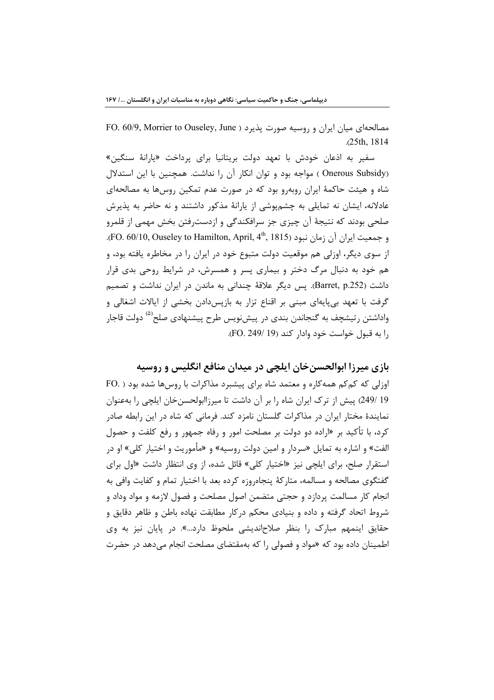FO. 60/9, Morrier to Ouseley, June ) مصالحهای میان ایران و روسیه صورت پذیرد  $.25th.1814$ 

سفير به اذعان خودش با تعهد دولت بريتانيا براي پرداخت «يارانهٔ سنگين» (Onerous Subsidy ) مواجه بود و توان انکار آن را نداشت. همچنین با این استدلال شاه و هیئت حاکمهٔ ایران روبهرو بود که در صورت عدم تمکین روسها به مصالحهای عادلانه، ایشان نه تمایلی به چشمپوشی از یارانهٔ مذکور داشتند و نه حاضر به پذیرش صلحی بودند که نتیجهٔ آن چیزی جز سرافکندگی و ازدسترفتن بخش مهمی از قلمرو و جمعیت ایران آن زمان نبود (FO. 60/10, Ouseley to Hamilton, April, 4th, 1815). از سوی دیگر، اوزلی هم موقعیت دولت متبوع خود در ایران را در مخاطره یافته بود، و هم خود به دنبال مرگ دختر و بیماری پسر و همسرش، در شرایط روحی بدی قرار داشت (Barret, p.252). پس دیگر علاقهٔ چندانی به ماندن در ایران نداشت و تصمیم گرفت با تعهد بیپایهای مبنی بر اقناع تزار به بازپسدادن بخشی از ایالات اشغالی و واداشتن رتیشچف به گنجاندن بندی در پیشنویس طرح پیشنهادی صلح<sup>(۵)</sup> دولت قاجار را به قبول خواست خود وادار كند (19 /FO. 249).

## بازی میرزا ابوالحسنخان ایلچی در میدان منافع انگلیس و روسیه

اوزلی که کم کم همه کاره و معتمد شاه برای پیشبرد مذاکرات با روس ها شده بود ( .FO 19 /249) پیش از ترک ایران شاه را بر آن داشت تا میرزاابولحسن خان ایلچی را بهعنوان نمایندهٔ مختار ایران در مذاکرات گلستان نامزد کند. فرمانی که شاه در این رابطه صادر کرد، با تأکید بر «اراده دو دولت بر مصلحت امور و رفاه جمهور و رفع کلفت و حصول الفت» و اشاره به تمایل «سردار و امین دولت روسیه» و «مأموریت و اختیار کلی» او در استقرار صلح، برای ایلچی نیز «اختیار کلی» قائل شده، از وی انتظار داشت «اول برای گفتگوی مصالحه و مسالمه، متارکهٔ پنجاهروزه کرده بعد با اختیار تمام و کفایت وافی به انجام کار مسالمت پردازد و حجتی متضمن اصول مصلحت و فصول لازمه و مواد وداد و شروط اتحاد گرفته و داده و بنیادی محکم درکار مطابقت نهاده باطن و ظاهر دقایق و حقایق اینمهم مبارک را بنظر صلاحاندیشی ملحوظ دارد...». در پایان نیز به وی اطمینان داده بود که «مواد و فصولی را که بهمقتضای مصلحت انجام می دهد در حضرت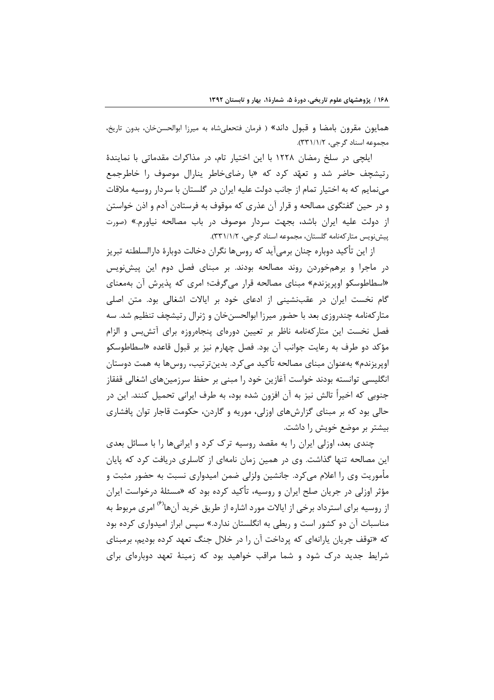همایون مقرون بامضا و قبول داند» ( فرمان فتحعلیشاه به میرزا ابوالحسن خان، بدون تاریخ، مجموعه اسناد گرجی، ۳۳۱/۱/۲).

ایلچی در سلخ رمضان ۱۲۲۸ با این اختیار تام، در مذاکرات مقدماتی با نمایندهٔ رتیشچف حاضر شد و تعهّد کرد که «با رضای خاطر پنارال موصوف را خاطرجمع می نمایم که به اختیار تمام از جانب دولت علیه ایران در گلستان با سردار روسیه ملاقات و در حین گفتگوی مصالحه و قرار آن عذری که موقوف به فرستادن آدم و اذن خواستن از دولت علیه ایران باشد، بجهت سردار موصوف در باب مصالحه نیاورم.» (صورت پیش نویس متار کهنامه گلستان، مجموعه اسناد گرجی، ۳۳۱/۱/۲).

از این تأکید دوباره چنان برمیآید که روسها نگران دخالت دوبارهٔ دارالسلطنه تبریز در ماجرا و برهمخوردن روند مصالحه بودند. بر مبنای فصل دوم این پیش نویس «اسطاطوسکو اوپریزندم» مبنای مصالحه قرار میگرفت؛ امری که پذیرش آن بهمعنای گام نخست ایران در عقبنشینی از ادعای خود بر ایالات اشغالی بود. متن اصلی متارکهنامه چندروزی بعد با حضور میرزا ابوالحسنخان و ژنرال رتیشچف تنظیم شد. سه فصل نخست این متارکهنامه ناظر بر تعیین دورهای پنجاهروزه برای آتش بس و الزام مؤكد دو طرف به رعايت جوانب آن بود. فصل چهارم نيز بر قبول قاعده «اسطاطوسكو اوپریزندم» بهعنوان مبنای مصالحه تأکید می کرد. بدینترتیب، روسها به همت دوستان انگلیسی توانسته بودند خواست آغازین خود را مبنی بر حفظ سرزمینهای اشغالی قفقاز جنوبی که اخیراً تالش نیز به آن افزون شده بود، به طرف ایرانی تحمیل کنند. این در حالي بود كه بر مبناي گزارشهاي اوزلي، موريه و گاردن، حكومت قاجار توان پافشاري بیشتر بر موضع خویش را داشت.

چندی بعد، اوزلی ایران را به مقصد روسیه ترک کرد و ایرانیها را با مسائل بعدی این مصالحه تنها گذاشت. وی در همین زمان نامهای از کاسلری دریافت کرد که پایان مأموریت وی را اعلام میکرد. جانشین ولزلی ضمن امیدواری نسبت به حضور مثبت و مؤثر اوزلی در جریان صلح ایران و روسیه، تأکید کرده بود که «مسئلهٔ درخواست ایران از روسیه برای استرداد برخی از ایالات مورد اشاره از طریق خرید آنها<sup>(۶)</sup> امری مربوط به مناسبات آن دو کشور است و ربطی به انگلستان ندارد.» سیس ابراز امیدواری کرده بود که «توقف جریان پارانهای که پرداخت آن را در خلال جنگ تعهد کرده بودیم، برمبنای شرایط جدید درک شود و شما مراقب خواهید بود که زمینهٔ تعهد دوبارهای برای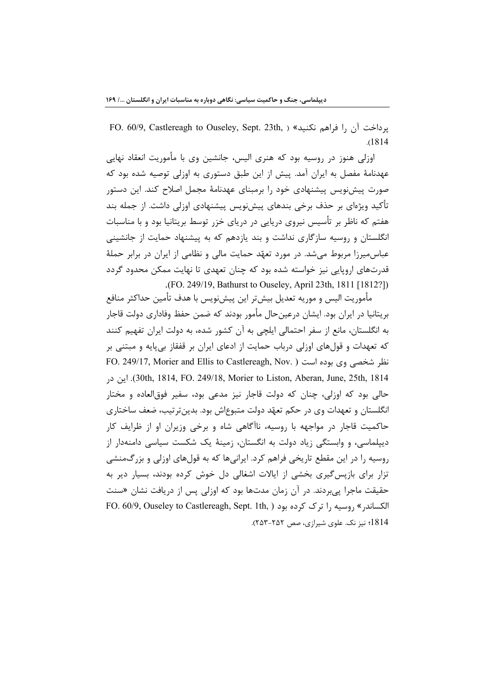FO. 60/9, Castlereagh to Ouseley, Sept. 23th, ) «يرداخت آن را فراهم نكنيد» (  $.1814$ 

اوزلی هنوز در روسیه بود که هنری الیس، جانشین وی با مأموریت انعقاد نهایی عهدنامهٔ مفصل به ایران آمد. پیش از این طبق دستوری به اوزلی توصیه شده بود که صورت پیش نویس پیشنهادی خود را برمبنای عهدنامهٔ مجمل اصلاح کند. این دستور تأکید ویژهای بر حذف برخی بندهای پیشiویس پیشنهادی اوزلی داشت. از جمله بند هفتم که ناظر بر تأسیس نیروی دریایی در دریای خزر توسط بریتانیا بود و با مناسبات انگلستان و روسیه سازگاری نداشت و بند یازدهم که به پیشنهاد حمایت از جانشینی عباس میرزا مربوط می شد. در مورد تعهّد حمایت مالی و نظامی از ایران در برابر حملهٔ قدرتهای اروپایی نیز خواسته شده بود که چنان تعهدی تا نهایت ممکن محدود گردد .(FO. 249/19, Bathurst to Ouseley, April 23th, 1811 [1812?])

مأموريت اليس و موريه تعديل بيشتر اين پيشنويس با هدف تأمين حداكثر منافع بریتانیا در ایران بود. ایشان درعین حال مأمور بودند که ضمن حفظ وفاداری دولت قاجار به انگلستان، مانع از سفر احتمالی ایلچی به آن کشور شده، به دولت ایران تفهیم کنند که تعهدات و قولهای اوزلی درباب حمایت از ادعای ایران بر قفقاز بیپایه و مبتنی بر FO. 249/17, Morier and Ellis to Castlereagh, Nov. ) نظر شخصی وی بوده است 30th, 1814, FO. 249/18, Morier to Liston, Aberan, June, 25th, 1814. این در حالي بود که اوزلي، چنان که دولت قاجار نيز مدعي بود، سفير فوق|لعاده و مختار انگلستان و تعهدات وي در حکم تعهّد دولت متبوعاش بود. بدينتر تيب، ضعف ساختاري حاکمیت قاجار در مواجهه با روسیه، ناآگاهی شاه و برخی وزیران او از ظرایف کار دیپلماسی، و وابستگی زیاد دولت به انگستان، زمینهٔ یک شکست سیاسی دامنهدار از روسیه را در این مقطع تاریخی فراهم کرد. ایرانیها که به قولهای اوزلی و بزرگمنشی تزار برای بازپس گیری بخشی از ایالات اشغالی دل خوش کرده بودند، بسیار دیر به حقیقت ماجرا پی بردند. در آن زمان مدتها بود که اوزلی پس از دریافت نشان «سنت FO. 60/9, Ouseley to Castlereagh, Sept. 1th, ۱ وسیه را ترک کرده بود 1814؛ نیز نک. علوی شیرازی، صص ۲۵۲-۲۵۳).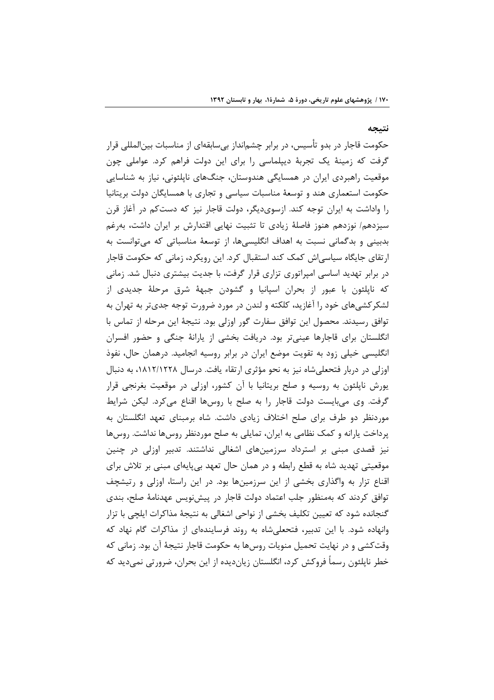نتيجه

حکومت قاجار در بدو تأسیس، در برابر چشمانداز بیِسابقهای از مناسبات بینالمللی قرار گرفت که زمینهٔ یک تجربهٔ دیپلماسی را برای این دولت فراهم کرد. عواملی چون موقعیت راهبردی ایران در همسایگی هندوستان، جنگهای ناپلئونی، نیاز به شناسایی حکومت استعماری هند و توسعهٔ مناسبات سیاسی و تجاری با همسایگان دولت بریتانیا را واداشت به ایران توجه کند. ازسویدیگر، دولت قاجار نیز که دستکم در آغاز قرن سیزدهم/ نوزدهم هنوز فاصلهٔ زیادی تا تثبیت نهایی اقتدارش بر ایران داشت، بهرغم بدبینی و بدگمانی نسبت به اهداف انگلیسی ها، از توسعهٔ مناسباتی که می توانست به ارتقای جایگاه سیاسی|ش کمک کند استقبال کرد. این رویکرد، زمانی که حکومت قاجار در برابر تهدید اساسی امپراتوری تزاری قرار گرفت، با جدیت بیشتری دنبال شد. زمانی که نایلئون با عبور از بحران اسپانیا و گشودن جبههٔ شرق مرحلهٔ جدیدی از لشکر کشیهای خود را آغازید، کلکته و لندن در مورد ضرورت توجه جدیتر به تهران به توافق رسیدند. محصول این توافق سفارت گور اوزلی بود. نتیجهٔ این مرحله از تماس با انگلستان برای قاجارها عینیتر بود. دریافت بخشی از پارانهٔ جنگی و حضور افسران انگلیسی خیلی زود به تقویت موضع ایران در برابر روسیه انجامید. درهمان حال، نفوذ اوزلی در دربار فتحعلی شاه نیز به نحو مؤثری ارتقاء یافت. درسال ۱۸۱۲/۱۲۲۸، به دنبال یورش ناپلئون به روسیه و صلح بریتانیا با آن کشور، اوزلی در موقعیت بغرنجی قرار گرفت. وی میبایست دولت قاجار را به صلح با روسها اقناع میکرد. لیکن شرایط موردنظر دو طرف برای صلح اختلاف زیادی داشت. شاه برمبنای تعهد انگلستان به پرداخت پارانه و کمک نظامی به ایران، تمایلی به صلح موردنظر روسها نداشت. روسها نیز قصدی مبنی بر استرداد سرزمینهای اشغالی نداشتند. تدبیر اوزلی در چنین موقعیتی تهدید شاه به قطع رابطه و در همان حال تعهد بیپایهای مبنی بر تلاش برای اقناع تزار به واگذاری بخشی از این سرزمینها بود. در این راستا، اوزلی و رتیشچف توافق کردند که بهمنظور جلب اعتماد دولت قاجار در پیش نویس عهدنامهٔ صلح، بندی گنجانده شود که تعیین تکلیف بخشی از نواحی اشغالی به نتیجهٔ مذاکرات ایلچی با تزار وانهاده شود. با این تدبیر، فتحعلی شاه به روند فرسایندهای از مذاکرات گام نهاد که وقتکشی و در نهایت تحمیل منویات روسها به حکومت قاجار نتیجهٔ آن بود. زمانی که خطر ناپلئون رسماً فروکش کرد، انگلستان زیاندیده از این بحران، ضرورتی نمی دید که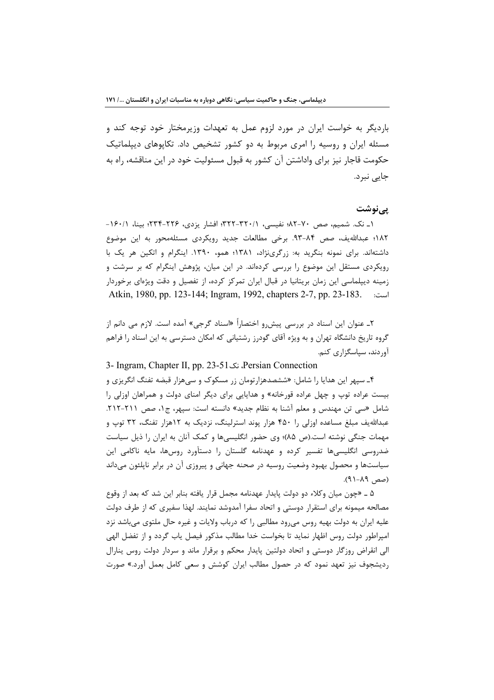باردیگر به خواست ایران در مورد لزوم عمل به تعهدات وزیرمختار خود توجه کند و مسئله ایران و روسیه را امری مربوط به دو کشور تشخیص داد. تکایوهای دیپلماتیک حکومت قاجار نیز برای واداشتن آن کشور به قبول مسئولیت خود در این مناقشه، راه به جایے نبرد.

### یےنوشت

۱\_ نک. شمیم، صص ۷۰-۸۲؛ نفیسی، ۲۲۱-۳۲۲؛ افشار یزدی، ۲۲۶-۲۳۴؛ بینا، ۱۶۰/۱-١٨٢؛ عبدالله يف، صص ٨٤-٩٣. برخي مطالعات جديد رويكردي مسئلهمحور به اين موضوع داشتهاند. برای نمونه بنگرید به: زرگرینژاد، ۱۳۸۱؛ همو، ۱۳۹۰. اینگرام و اتکین هر یک با رویکردی مستقل این موضوع را بررسی کردهاند. در این میان، پژوهش اینگرام که بر سرشت و زمینه دیپلماسی این زمان بریتانیا در قبال ایران تمرکز کرده، از تفصیل و دقت ویژهای برخوردار Atkin, 1980, pp. 123-144; Ingram, 1992, chapters 2-7, pp. 23-183.  $\ldots$ است:

۲ـ عنوان این اسناد در بررسی پیش٫و اختصاراً «اسناد گرجی» آمده است. لازم می دانم از گروه تاریخ دانشگاه تهران و به ویژه آقای گودرز رشتیانی که امکان دسترسی به این اسناد را فراهم آوردند، سیاسگزاری کنم.

3- Ingram, Chapter II, pp. 23-51 نک Persian Connection

۴ـ سپهر این هدایا را شامل: «ششصدهزارتومان زر مسکوک و س<sub>ما</sub>هزار قبضه تفنگ انگریزی و بیست عراده توپ و چهل عراده قورخانه» و هدایایی برای دیگر امنای دولت و همراهان اوزلی را شامل «سی تن مهندس و معلم آشنا به نظام جدید» دانسته است: سپهر، ج ۰، صص ۲۱۱-۲۱۲. عبدالله یف مبلغ مساعده اوزلی ۱٫ ۴۵۰ هزار یوند استرلینگ، نزدیک به ۱۲هزار تفنگ، ۳۲ توپ و مهمات جنگی نوشته است.(ص ۸۵)؛ وی حضور انگلیسیها و کمک آنان به ایران را ذیل سیاست ضدروسی انگلیسیها تفسیر کرده و عهدنامه گلستان را دستآورد روسها، مایه ناکامی این سیاستها و محصول بهبود وضعیت روسیه در صحنه جهانی و پیروزی آن در برابر ناپلئون میداند (صص ۸۹–۹۱).

۵ ـ «چون ميان وكلاء دو دولت پايدار عهدنامه مجمل قرار يافته بنابر اين شد كه بعد از وقوع مصالحه میمونه برای استقرار دوستی و اتحاد سفرا آمدوشد نمایند. لهذا سفیری که از طرف دولت علیه ایران به دولت بهیه روس میرود مطالبی را که درباب ولایات و غیره حال ملتوی میباشد نزد امپراطور دولت روس اظهار نمايد تا بخواست خدا مطالب مذكور فيصل ياب گردد و از تفضل الهي الی انقراض روزگار دوستی و اتحاد دولتین پایدار محکم و برقرار ماند و سردار دولت روس پنارال ردیشجوف نیز تعهد نمود که در حصول مطالب ایران کوشش و سعی کامل بعمل آورد.» صورت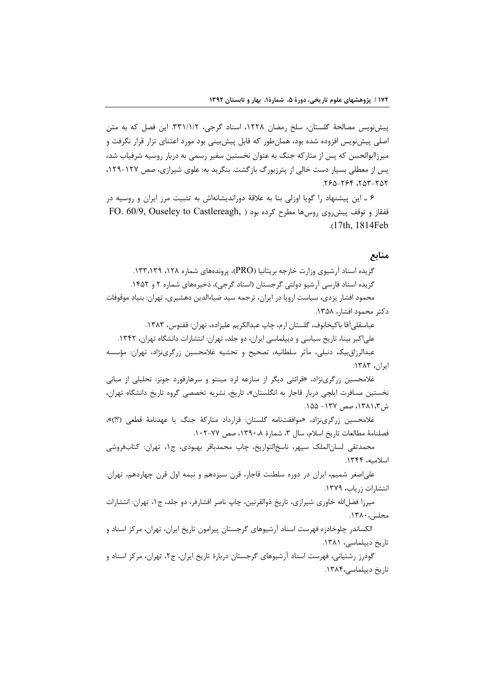پیش نویس مصالحهٔ گلستان، سلخ رمضان ۱۲۲۸، اسناد گرجی، ۳۳۱/۱/۲. این فصل که به متن اصلی پیش:ویس افزوده شده بود، همان طور که قابل پیش:پنی بود مورد اعتنای تزار قرار نگرفت و میرزاابوالحسن که پس از متارکه جنگ به عنوان نخستین سفیر رسمی به دربار روسیه شرفیاب شد، یس از معطلی بسیار دست خالی از پترزبورگ بازگشت. بنگرید به: علوی شیرازی، صص ۱۲۷-۱۲۹، ٥٢-٣٥٣. ٢۶۴-٥٤٢.

۶ ـ این پیشنهاد را گویا اوزلی بنا به علاقهٔ دوراندیشانهاش به تثبیت مرز ایران و روسیه در FO. 60/9, Ouseley to Castlereagh, ) نفقاز و توقف پیش روی روس ها مطرح کرده بود .(17th, 1814Feb

### منابع

گزیده اسناد آرشیوی وزارت خارجه بریتانیا (PRO)، پروندههای شماره ۱۲۸، ۱۳۳،۱۳۹. گزیده اسناد فارسی آرشیو دولتی گرجستان (اسناد گرجی)، ذخیرههای شماره ۲ و ۱۴۵۲. محمود افشار یزدی، سیاست اروپا در ایران، ترجمه سید ضیاءالدین دهشیری، تهران: بنیاد موقوفات دكتر محمود افشار، ١٣۵٨.

عباسقلي آقا باكيخانوف، گلستان ارم، چاپ عبدالكريم عليزاده، تهران: ققنوس، ١٣٨٣. علی اکبر بینا، تاریخ سیاسی و دیپلماسی ایران، دو جلد، تهران: انتشارات دانشگاه تهران، ۱۳۴۲. عبدالرزاق بيک دنبلي، مآثر سلطانيه، تصحيح و تحشيه غلامحسين زرگري نژاد، تهران: مؤسسه

ایران، ۱۳۸۳.

غلامحسین زرگرینژاد، «قرائتی دیگر از منازعه لرد مینتو و سرهارفورد جونز: تحلیلی از مبانی نخستین مسافرت ایلچی دربار قاجار به انگلستان»، تاریخ، نشریه تخصصی گروه تاریخ دانشگاه تهران، ش ١٣٨١،٣٧، صص ١٣٧- ١٥٥.

غلامحسين زرگريiژاد، «موافقتنامه گلستان: قرارداد متاركة جنگ يا عهدنامهٔ قطعي (؟!)»، فصلنامة مطالعات تاريخ اسلام، سال ٣، شمارة ١٣٩٠، صص ٧٧-١٠٢.

محمدتقی لسانالملک سپهر، ناسخالتواریخ، چاپ محمدباقر بهبودی، ج۱، تهران: کتابفروشی اسلاميه، ١٣۴۴.

علی|صغر شمیم، ایران در دوره سلطنت قاجار، قرن سیزدهم و نیمه اول قرن چهاردهم، تهران: انتشارات زرياب، ١٣٧٩.

میرزا فضلالله خاوری شیرازی، تاریخ ذوالقرنین، چاپ ناصر افشارفر، دو جلد، ج۱، تهران: انتشارات مجلس، ١٣٨٠.

الکساندر چلوخادزه فهرست اسناد آرشیوهای گرجستان پیرامون تاریخ ایران، تهران، مرکز اسناد و تاریخ دیپلماسی، ۱۳۸۱.

گودرز رشتیانی، فهرست اسناد آرشیوهای گرجستان دربارهٔ تاریخ ایران، ج۲، تهران، مرکز اسناد و تاریخ دیپلماسی،۱۳۸۴.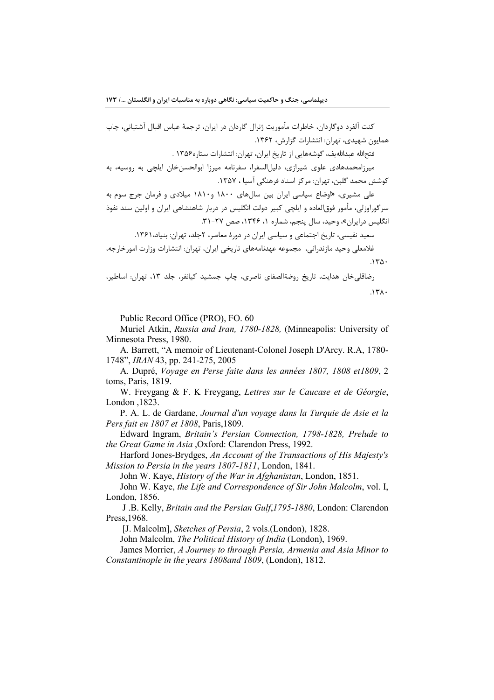كنت آلفرد دوگاردان، خاطرات مأموريت ژنرال گاردان در ايران، ترجمهٔ عباس اقبال آشتياني، چاپ همایون شهیدی، تهران: انتشارات گزارش، ۱۳۶۲.

فتحالله عبداللهيف، گوشههايي از تاريخ ايران، تهران: انتشارات ستاره۱۳۵۶ .

میر;امحمدهادی علوی شیرازی، دلیلالسفرا، سفرنامه میرزا ابوالحسنخان ایلچی به روسیه، به كوشش محمد گلبن، تهران: مركز اسناد فرهنگي آسيا ، ١٣۵٧.

علی مشیری، «اوضاع سیاسی ایران بین سالهای ۱۸۰۰ و۱۸۱۰ میلادی و فرمان جرج سوم به سرگوراوزلی، مأمور فوق|لعاده و ایلچی کبیر دولت انگلیس در دربار شاهنشاهی ایران و اولین سند نفوذ انگلیس درایران»، وحید، سال پنجم، شماره ۱، ۱۳۴۶، صص ۲۷-۳۱.

سعید نفیسے، تاریخ اجتماعی و سیاسی ایران در دورۂ معاصر، ۲جلد، تھران: بنیاد، ۱۳۶۱.

غلامعلي وحيد مازندراني، مجموعه عهدنامههاي تاريخي ايران، تهران: انتشارات وزارت امورخارجه،  $150.$ 

رضاقلی خان هدایت، تاریخ روضةالصفای ناصری، چاپ جمشید کیانفر، جلد ۱۳، تهران: اساطیر،  $\lambda \tau \lambda$ 

Public Record Office (PRO), FO. 60

Muriel Atkin, *Russia and Iran. 1780-1828*. (Minneapolis: University of Minnesota Press, 1980.

A. Barrett, "A memoir of Lieutenant-Colonel Joseph D'Arcy. R.A, 1780-1748", *IRAN* 43, pp. 241-275, 2005

A. Dupré, Voyage en Perse faite dans les années 1807, 1808 et1809, 2 toms, Paris, 1819.

W. Freygang & F. K Freygang, Lettres sur le Caucase et de Géorgie, London , 1823.

P. A. L. de Gardane, Journal d'un voyage dans la Turquie de Asie et la Pers fait en 1807 et 1808, Paris 1809.

Edward Ingram, Britain's Persian Connection, 1798-1828, Prelude to the Great Game in Asia , Oxford: Clarendon Press, 1992.

Harford Jones-Brydges, An Account of the Transactions of His Majesty's Mission to Persia in the years 1807-1811, London, 1841.

John W. Kaye, History of the War in Afghanistan, London, 1851.

John W. Kaye, the Life and Correspondence of Sir John Malcolm, vol. I, London, 1856.

J.B. Kelly, Britain and the Persian Gulf, 1795-1880, London: Clarendon Press, 1968.

[J. Malcolm], Sketches of Persia, 2 vols.(London), 1828.

John Malcolm, The Political History of India (London), 1969.

James Morrier, A Journey to through Persia, Armenia and Asia Minor to Constantinople in the years 1808 and 1809, (London), 1812.